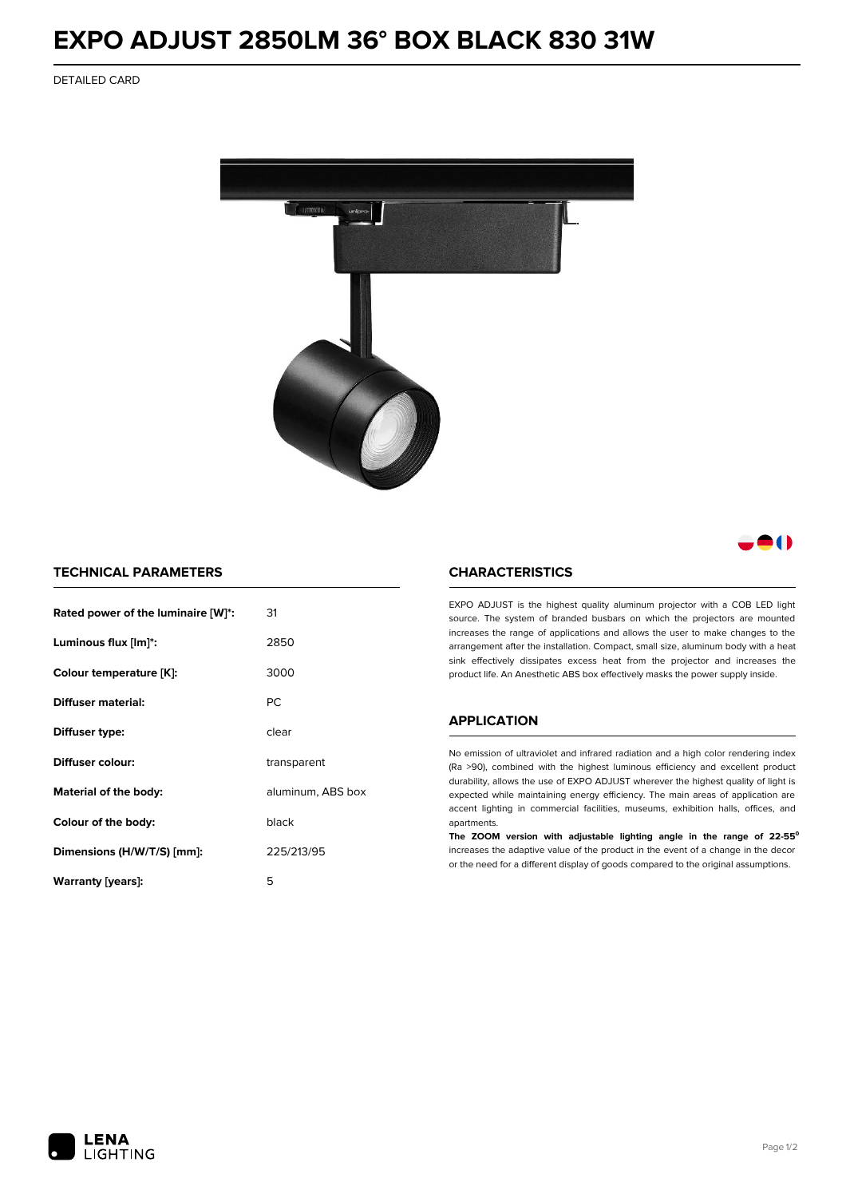# **EXPO ADJUST 2850LM 36° BOX BLACK 830 31W**

DETAILED CARD



# 80

## **TECHNICAL PARAMETERS**

| Rated power of the luminaire [W]*: | 31                |
|------------------------------------|-------------------|
| Luminous flux [lm]*:               | 2850              |
| Colour temperature [K]:            | 3000              |
| Diffuser material:                 | РC                |
| Diffuser type:                     | clear             |
| Diffuser colour:                   | transparent       |
| Material of the body:              | aluminum, ABS box |
| Colour of the body:                | black             |
| Dimensions (H/W/T/S) [mm]:         | 225/213/95        |
| Warranty [years]:                  | 5                 |

#### **CHARACTERISTICS**

EXPO ADJUST is the highest quality aluminum projector with a COB LED light source. The system of branded busbars on which the projectors are mounted increases the range of applications and allows the user to make changes to the arrangement after the installation. Compact, small size, aluminum body with a heat sink effectively dissipates excess heat from the projector and increases the product life. An Anesthetic ABS box effectively masks the power supply inside.

### **APPLICATION**

No emission of ultraviolet and infrared radiation and a high color rendering index (Ra >90), combined with the highest luminous efficiency and excellent product durability, allows the use of EXPO ADJUST wherever the highest quality of light is expected while maintaining energy efficiency. The main areas of application are accent lighting in commercial facilities, museums, exhibition halls, offices, and apartments.

**The ZOOM version with adjustable lighting angle in the range of 22-55⁰** increases the adaptive value of the product in the event of a change in the decor or the need for a different display of goods compared to the original assumptions.